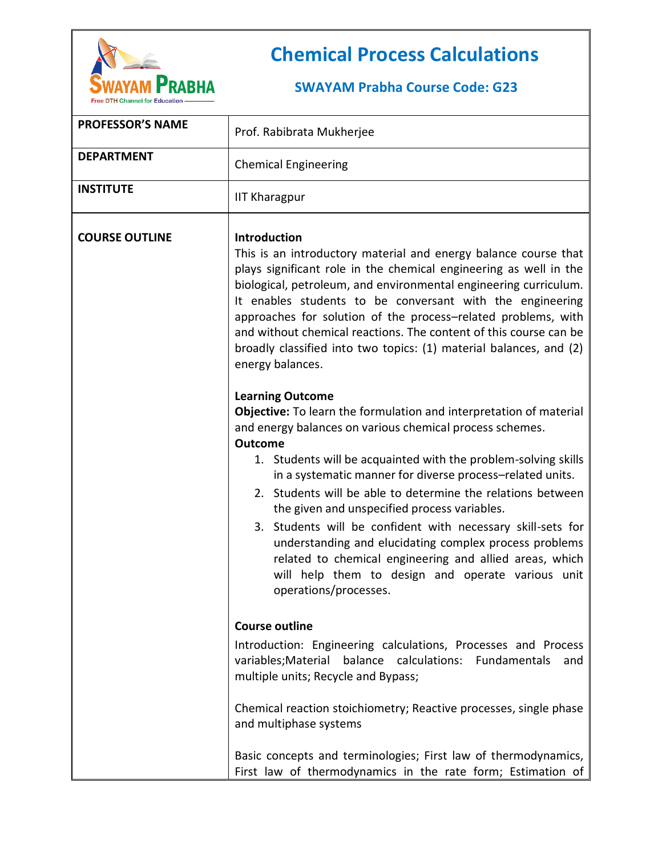

## **Chemical Process Calculations**

## **SWAYAM Prabha Course Code: G23**

| <b>PROFESSOR'S NAME</b> | Prof. Rabibrata Mukherjee                                                                                                                                                                                                                                                                                                                                                                                                                                                                                                                                                                                                                                               |  |  |  |
|-------------------------|-------------------------------------------------------------------------------------------------------------------------------------------------------------------------------------------------------------------------------------------------------------------------------------------------------------------------------------------------------------------------------------------------------------------------------------------------------------------------------------------------------------------------------------------------------------------------------------------------------------------------------------------------------------------------|--|--|--|
| <b>DEPARTMENT</b>       | <b>Chemical Engineering</b>                                                                                                                                                                                                                                                                                                                                                                                                                                                                                                                                                                                                                                             |  |  |  |
| <b>INSTITUTE</b>        | <b>IIT Kharagpur</b>                                                                                                                                                                                                                                                                                                                                                                                                                                                                                                                                                                                                                                                    |  |  |  |
| <b>COURSE OUTLINE</b>   | <b>Introduction</b><br>This is an introductory material and energy balance course that<br>plays significant role in the chemical engineering as well in the<br>biological, petroleum, and environmental engineering curriculum.<br>It enables students to be conversant with the engineering<br>approaches for solution of the process-related problems, with<br>and without chemical reactions. The content of this course can be<br>broadly classified into two topics: (1) material balances, and (2)<br>energy balances.<br><b>Learning Outcome</b>                                                                                                                 |  |  |  |
|                         | <b>Objective:</b> To learn the formulation and interpretation of material<br>and energy balances on various chemical process schemes.<br><b>Outcome</b><br>1. Students will be acquainted with the problem-solving skills<br>in a systematic manner for diverse process-related units.<br>2. Students will be able to determine the relations between<br>the given and unspecified process variables.<br>3. Students will be confident with necessary skill-sets for<br>understanding and elucidating complex process problems<br>related to chemical engineering and allied areas, which<br>will help them to design and operate various unit<br>operations/processes. |  |  |  |
|                         | <b>Course outline</b><br>Introduction: Engineering calculations, Processes and Process<br>variables; Material balance calculations: Fundamentals and<br>multiple units; Recycle and Bypass;<br>Chemical reaction stoichiometry; Reactive processes, single phase<br>and multiphase systems<br>Basic concepts and terminologies; First law of thermodynamics,<br>First law of thermodynamics in the rate form; Estimation of                                                                                                                                                                                                                                             |  |  |  |